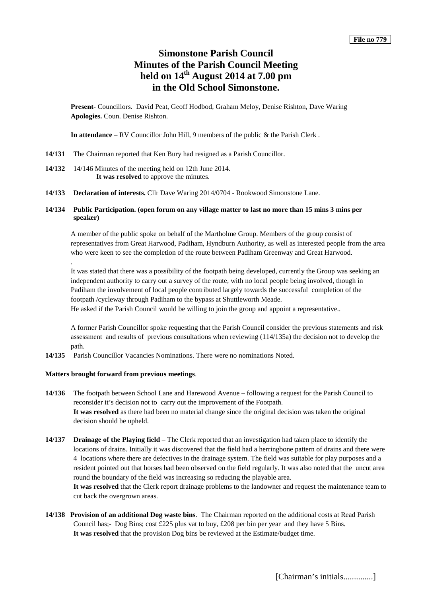# **Simonstone Parish Council Minutes of the Parish Council Meeting held on 14th August 2014 at 7.00 pm in the Old School Simonstone.**

**Present**- Councillors. David Peat, Geoff Hodbod, Graham Meloy, Denise Rishton, Dave Waring **Apologies.** Coun. Denise Rishton.

**In attendance** – RV Councillor John Hill, 9 members of the public & the Parish Clerk .

- **14/131** The Chairman reported that Ken Bury had resigned as a Parish Councillor.
- **14/132** 14/146 Minutes of the meeting held on 12th June 2014. **It was resolved** to approve the minutes.
- **14/133 Declaration of interests.** Cllr Dave Waring 2014/0704 Rookwood Simonstone Lane.
- **14/134 Public Participation. (open forum on any village matter to last no more than 15 mins 3 mins per speaker)**

A member of the public spoke on behalf of the Martholme Group. Members of the group consist of representatives from Great Harwood, Padiham, Hyndburn Authority, as well as interested people from the area who were keen to see the completion of the route between Padiham Greenway and Great Harwood.

It was stated that there was a possibility of the footpath being developed, currently the Group was seeking an independent authority to carry out a survey of the route, with no local people being involved, though in Padiham the involvement of local people contributed largely towards the successful completion of the footpath /cycleway through Padiham to the bypass at Shuttleworth Meade. He asked if the Parish Council would be willing to join the group and appoint a representative..

A former Parish Councillor spoke requesting that the Parish Council consider the previous statements and risk assessment and results of previous consultations when reviewing (114/135a) the decision not to develop the path.

**14/135** Parish Councillor Vacancies Nominations. There were no nominations Noted.

## **Matters brought forward from previous meetings**.

.

- **14/136** The footpath between School Lane and Harewood Avenue following a request for the Parish Council to reconsider it's decision not to carry out the improvement of the Footpath. **It was resolved** as there had been no material change since the original decision was taken the original decision should be upheld.
- **14/137 Drainage of the Playing field** The Clerk reported that an investigation had taken place to identify the locations of drains. Initially it was discovered that the field had a herringbone pattern of drains and there were 4 locations where there are defectives in the drainage system. The field was suitable for play purposes and a resident pointed out that horses had been observed on the field regularly. It was also noted that the uncut area round the boundary of the field was increasing so reducing the playable area.

**It was resolved** that the Clerk report drainage problems to the landowner and request the maintenance team to cut back the overgrown areas.

**14/138 Provision of an additional Dog waste bins**. The Chairman reported on the additional costs at Read Parish Council has;- Dog Bins; cost £225 plus vat to buy, £208 per bin per year and they have 5 Bins. **It was resolved** that the provision Dog bins be reviewed at the Estimate/budget time.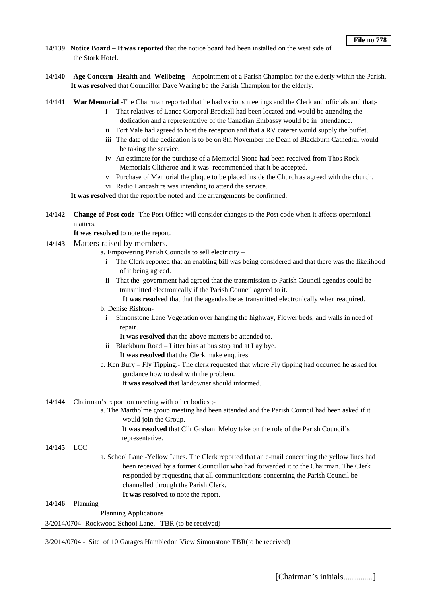- **14/139 Notice Board – It was reported** that the notice board had been installed on the west side of the Stork Hotel.
- **14/140 Age Concern -Health and Wel**l**being**  Appointment of a Parish Champion for the elderly within the Parish. **It was resolved** that Councillor Dave Waring be the Parish Champion for the elderly.
- **14/141 War Memorial** -The Chairman reported that he had various meetings and the Clerk and officials and that;
	- i That relatives of Lance Corporal Breckell had been located and would be attending the dedication and a representative of the Canadian Embassy would be in attendance.
	- ii Fort Vale had agreed to host the reception and that a RV caterer would supply the buffet.
	- iii The date of the dedication is to be on 8th November the Dean of Blackburn Cathedral would be taking the service.
	- iv An estimate for the purchase of a Memorial Stone had been received from Thos Rock Memorials Clitheroe and it was recommended that it be accepted.
	- v Purchase of Memorial the plaque to be placed inside the Church as agreed with the church.
	- vi Radio Lancashire was intending to attend the service.

**It was resolved** that the report be noted and the arrangements be confirmed.

**14/142 Change of Post code**- The Post Office will consider changes to the Post code when it affects operational matters.

**It was resolved** to note the report.

- **14/143** Matters raised by members.
	- a. Empowering Parish Councils to sell electricity
		- i The Clerk reported that an enabling bill was being considered and that there was the likelihood of it being agreed.
		- ii That the government had agreed that the transmission to Parish Council agendas could be transmitted electronically if the Parish Council agreed to it.

**It was resolved** that that the agendas be as transmitted electronically when reaquired.

- b. Denise Rishton
	- i Simonstone Lane Vegetation over hanging the highway, Flower beds, and walls in need of repair.

**It was resolved** that the above matters be attended to.

- ii Blackburn Road Litter bins at bus stop and at Lay bye.
	- **It was resolved** that the Clerk make enquires
- c. Ken Bury Fly Tipping.- The clerk requested that where Fly tipping had occurred he asked for guidance how to deal with the problem.

**It was resolved** that landowner should informed.

- **14/144** Chairman's report on meeting with other bodies ;
	- a. The Martholme group meeting had been attended and the Parish Council had been asked if it would join the Group.

**It was resolved** that Cllr Graham Meloy take on the role of the Parish Council's representative.

**14/145** LCC

- a. School Lane -Yellow Lines. The Clerk reported that an e-mail concerning the yellow lines had been received by a former Councillor who had forwarded it to the Chairman. The Clerk responded by requesting that all communications concerning the Parish Council be channelled through the Parish Clerk.
	- **It was resolved** to note the report.

**14/146** Planning

Planning Applications

3/2014/0704- Rockwood School Lane, TBR (to be received)

3/2014/0704 - Site of 10 Garages Hambledon View Simonstone TBR(to be received)

[Chairman's initials..............]